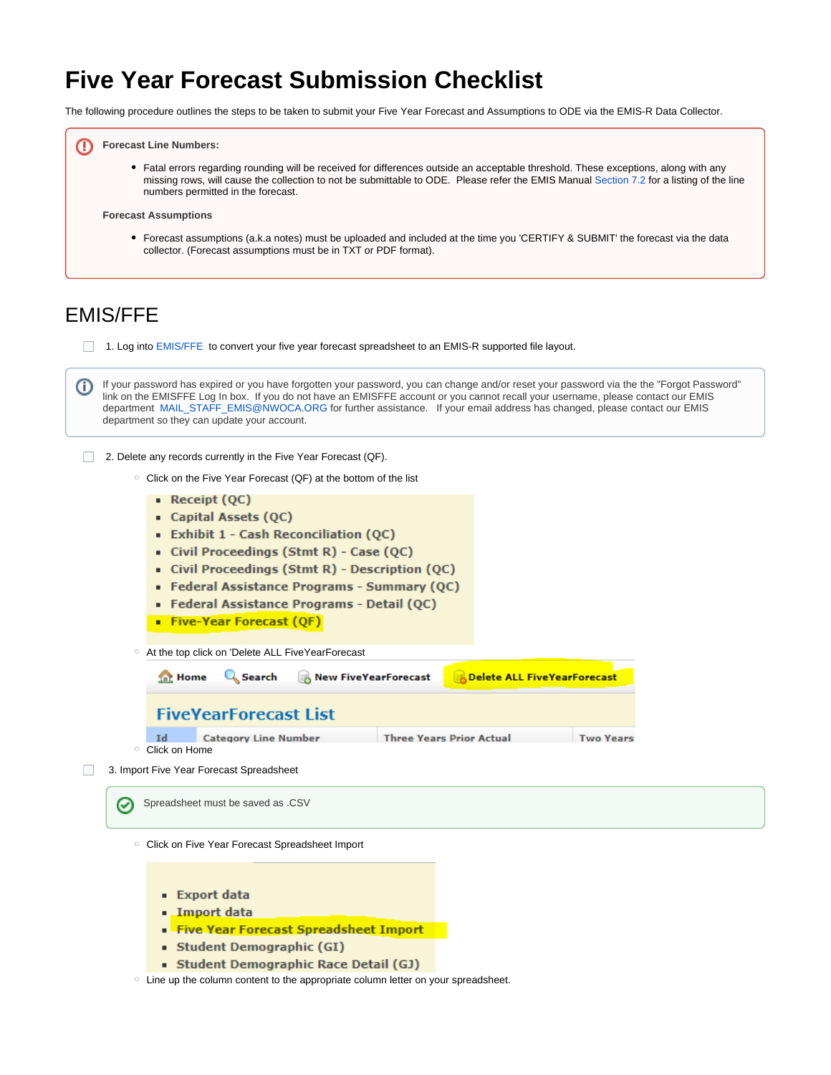# **Five Year Forecast Submission Checklist**

The following procedure outlines the steps to be taken to submit your Five Year Forecast and Assumptions to ODE via the EMIS-R Data Collector.



Fatal errors regarding rounding will be received for differences outside an acceptable threshold. These exceptions, along with any missing rows, will cause the collection to not be submittable to ODE. Please refer the EMIS Manual [Section 7.2](http://education.ohio.gov/getattachment/Topics/Data/EMIS/EMIS-Documentation/Current-EMIS-Manual/7-2-Five-Year-Forecast-Record-v3-3.pdf.aspx?lang=en-US) for a listing of the line numbers permitted in the forecast.

#### **Forecast Assumptions**

Forecast assumptions (a.k.a notes) must be uploaded and included at the time you 'CERTIFY & SUBMIT' the forecast via the data collector. (Forecast assumptions must be in TXT or PDF format).

# EMIS/FFE

1. Log into [EMIS/FFE](https://ssdt.esu.k12.oh.us/emisffe2/login/auth) to convert your five year forecast spreadsheet to an EMIS-R supported file layout.

If your password has expired or you have forgotten your password, you can change and/or reset your password via the the "Forgot Password" (j) link on the EMISFFE Log In box. If you do not have an EMISFFE account or you cannot recall your username, please contact our EMIS department [MAIL\\_STAFF\\_EMIS@NWOCA.ORG](mailto:departmentMAIL_STAFF_EMIS@NWOCA.ORG) for further assistance. If your email address has changed, please contact our EMIS department so they can update your account.

- 2. Delete any records currently in the Five Year Forecast (QF).
	- <sup>o</sup> Click on the Five Year Forecast (QF) at the bottom of the list
		- $\blacksquare$  Receipt (QC)
		- Capital Assets (QC)
		- Exhibit 1 Cash Reconciliation (OC)
		- Civil Proceedings (Stmt R) Case (QC)
		- Civil Proceedings (Stmt R) Description (QC)
		- Federal Assistance Programs Summary (QC)
		- · Federal Assistance Programs Detail (QC)
		- Five-Year Forecast (QF)

At the top click on 'Delete ALL FiveYearForecast

| Home Q Search B New FiveYearForecast<br><b>Delete ALL FiveYearForecast</b> |                             |  |                                 |                  |  |  |
|----------------------------------------------------------------------------|-----------------------------|--|---------------------------------|------------------|--|--|
| <b>FiveVearForecast List</b>                                               |                             |  |                                 |                  |  |  |
| Id                                                                         | <b>Category Line Number</b> |  | <b>Three Years Prior Actual</b> | <b>Two Years</b> |  |  |
| Click on Home                                                              |                             |  |                                 |                  |  |  |

 3. Import Five Year Forecast Spreadsheet  $\Box$ 

 $\circ$ 

Spreadsheet must be saved as .CSV☑

<sup>o</sup> Click on Five Year Forecast Spreadsheet Import

- **Export data**
- . Import data
- Five Year Forecast Spreadsheet Import
- Student Demographic (GI)
- Student Demographic Race Detail (GJ)
- o Line up the column content to the appropriate column letter on your spreadsheet.

Λ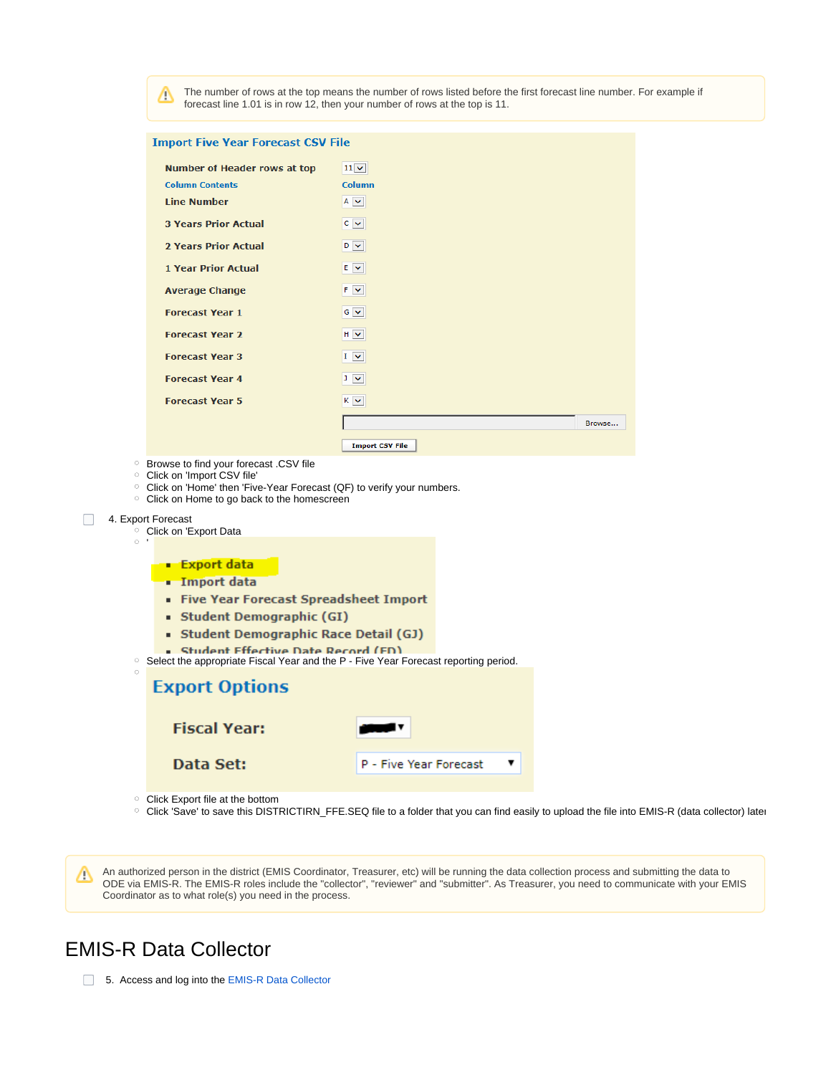The number of rows at the top means the number of rows listed before the first forecast line number. For example if Δ forecast line 1.01 is in row 12, then your number of rows at the top is 11.

Browse...

| <b>Import Five Year Forecast CSV File</b> |                   |  |  |  |
|-------------------------------------------|-------------------|--|--|--|
|                                           |                   |  |  |  |
| <b>Number of Header rows at top</b>       | $11$ $\vee$       |  |  |  |
| <b>Column Contents</b>                    | Column            |  |  |  |
| <b>Line Number</b>                        | $A \times$        |  |  |  |
| <b>3 Years Prior Actual</b>               | $C \times$        |  |  |  |
|                                           |                   |  |  |  |
| <b>2 Years Prior Actual</b>               | $D \times$        |  |  |  |
| <b>1 Year Prior Actual</b>                | $E \times$        |  |  |  |
|                                           |                   |  |  |  |
| <b>Average Change</b>                     | F V               |  |  |  |
| <b>Forecast Year 1</b>                    | $G \vee$          |  |  |  |
|                                           |                   |  |  |  |
| <b>Forecast Year 2</b>                    | $H \times$        |  |  |  |
| <b>Forecast Year 3</b>                    | $I \vee$          |  |  |  |
|                                           |                   |  |  |  |
| <b>Forecast Year 4</b>                    | $J \times$        |  |  |  |
| <b>Forecast Year 5</b>                    | $K \nvert \nabla$ |  |  |  |
|                                           |                   |  |  |  |
|                                           |                   |  |  |  |

**Import CSV File** 

Browse to find your forecast .CSV file

- Click on 'Import CSV file'
- Click on 'Home' then 'Five-Year Forecast (QF) to verify your numbers.
- $\circ$  Click on Home to go back to the homescreen

## 4. Export Forecast

<sup>o</sup> Click on 'Export Data  $\circ$ 

### **Export data**

- **Import data**
- Five Year Forecast Spreadsheet Import
- Student Demographic (GI)
- Student Demographic Race Detail (GJ)
- Student Effective Date Record (ED)
- <sup>o</sup> Select the appropriate Fiscal Year and the P Five Year Forecast reporting period.

| <b>Export Options</b> |                        |
|-----------------------|------------------------|
| <b>Fiscal Year:</b>   |                        |
| Data Set:             | P - Five Year Forecast |

Click Export file at the bottom

○ Click 'Save' to save this DISTRICTIRN\_FFE.SEQ file to a folder that you can find easily to upload the file into EMIS-R (data collector) later

An authorized person in the district (EMIS Coordinator, Treasurer, etc) will be running the data collection process and submitting the data to Λ ODE via EMIS-R. The EMIS-R roles include the "collector", "reviewer" and "submitter". As Treasurer, you need to communicate with your EMIS Coordinator as to what role(s) you need in the process.

# EMIS-R Data Collector

5. Access and log into the [EMIS-R Data Collector](http://emis-r.nwoca.org:7006/DCConsoleJSP/dc/Login.jsp)